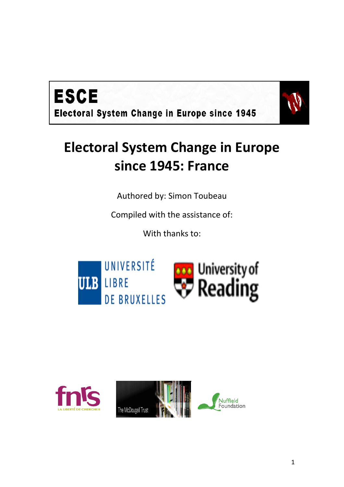



# **Electoral System Change in Europe since 1945: France**

Authored by: Simon Toubeau

Compiled with the assistance of:

With thanks to:





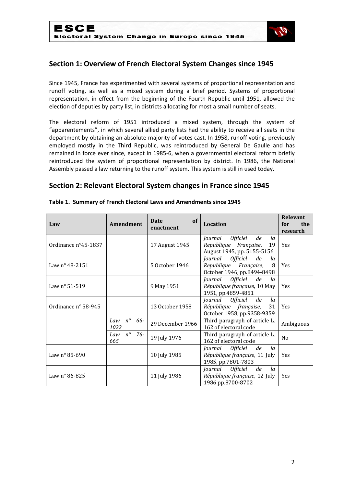

## **Section 1: Overview of French Electoral System Changes since 1945**

Since 1945, France has experimented with several systems of proportional representation and runoff voting, as well as a mixed system during a brief period. Systems of proportional representation, in effect from the beginning of the Fourth Republic until 1951, allowed the election of deputies by party list, in districts allocating for most a small number of seats.

The electoral reform of 1951 introduced a mixed system, through the system of "apparentements", in which several allied party lists had the ability to receive all seats in the department by obtaining an absolute majority of votes cast. In 1958, runoff voting, previously employed mostly in the Third Republic, was reintroduced by General De Gaulle and has remained in force ever since, except in 1985-6, when a governmental electoral reform briefly reintroduced the system of proportional representation by district. In 1986, the National Assembly passed a law returning to the runoff system. This system is still in used today.

## **Section 2: Relevant Electoral System changes in France since 1945**

| Law                          | Amendment                         | of<br>Date<br>enactment | <b>Location</b>                                                                                            | <b>Relevant</b><br>the<br>for<br>research |
|------------------------------|-----------------------------------|-------------------------|------------------------------------------------------------------------------------------------------------|-------------------------------------------|
| Ordinance $n^{\circ}45-1837$ |                                   | 17 August 1945          | <i><b>Officiel</b></i><br>de<br>Journal<br>la<br>Republique Française,<br>19<br>August 1945, pp. 5155-5156 | Yes                                       |
| Law nº 48-2151               |                                   | 5 October 1946          | Journal Officiel<br>de<br>la<br>Republique Française,<br>8<br>October 1946, pp.8494-8498                   | Yes                                       |
| Law $n^{\circ}$ 51-519       |                                   | 9 May 1951              | Journal Officiel<br>de<br>la<br>République française, 10 May<br>1951, pp.4859-4851                         | <b>Yes</b>                                |
| Ordinance n° 58-945          |                                   | 13 October 1958         | Journal Officiel<br>de<br>la<br>République française,<br>31<br>October 1958, pp.9358-9359                  | <b>Yes</b>                                |
|                              | $n^{\circ}$<br>66-<br>Law<br>1022 | 29 December 1966        | Third paragraph of article L.<br>162 of electoral code                                                     | Ambiguous                                 |
|                              | $n^{\circ}$<br>76-<br>Law<br>665  | 19 July 1976            | Third paragraph of article L.<br>162 of electoral code                                                     | N <sub>0</sub>                            |
| Law $n^{\circ}$ 85-690       |                                   | 10 July 1985            | Journal Officiel<br>de<br>la<br>République française, 11 July<br>1985, pp.7801-7803                        | <b>Yes</b>                                |
| Law $n^{\circ}$ 86-825       |                                   | 11 July 1986            | Journal Officiel<br>de<br>la<br>République française, 12 July<br>1986 pp.8700-8702                         | Yes                                       |

#### **Table 1. Summary of French Electoral Laws and Amendments since 1945**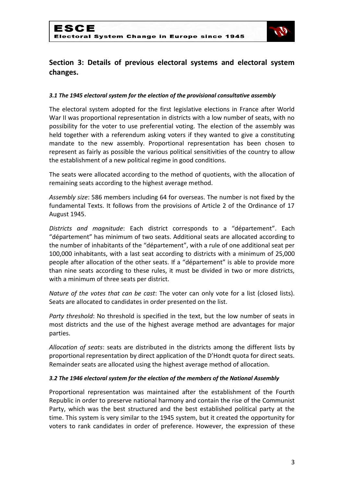

## **Section 3: Details of previous electoral systems and electoral system changes.**

#### *3.1 The 1945 electoral system for the election of the provisional consultative assembly*

The electoral system adopted for the first legislative elections in France after World War II was proportional representation in districts with a low number of seats, with no possibility for the voter to use preferential voting. The election of the assembly was held together with a referendum asking voters if they wanted to give a constituting mandate to the new assembly. Proportional representation has been chosen to represent as fairly as possible the various political sensitivities of the country to allow the establishment of a new political regime in good conditions.

The seats were allocated according to the method of quotients, with the allocation of remaining seats according to the highest average method.

*Assembly size*: 586 members including 64 for overseas. The number is not fixed by the fundamental Texts. It follows from the provisions of Article 2 of the Ordinance of 17 August 1945.

*Districts and magnitude*: Each district corresponds to a "département". Each "département" has minimum of two seats. Additional seats are allocated according to the number of inhabitants of the "département", with a rule of one additional seat per 100,000 inhabitants, with a last seat according to districts with a minimum of 25,000 people after allocation of the other seats. If a "département" is able to provide more than nine seats according to these rules, it must be divided in two or more districts, with a minimum of three seats per district.

*Nature of the votes that can be cast*: The voter can only vote for a list (closed lists). Seats are allocated to candidates in order presented on the list.

*Party threshold*: No threshold is specified in the text, but the low number of seats in most districts and the use of the highest average method are advantages for major parties.

*Allocation of seats*: seats are distributed in the districts among the different lists by proportional representation by direct application of the D'Hondt quota for direct seats. Remainder seats are allocated using the highest average method of allocation.

#### *3.2 The 1946 electoral system for the election of the members of the National Assembly*

Proportional representation was maintained after the establishment of the Fourth Republic in order to preserve national harmony and contain the rise of the Communist Party, which was the best structured and the best established political party at the time. This system is very similar to the 1945 system, but it created the opportunity for voters to rank candidates in order of preference. However, the expression of these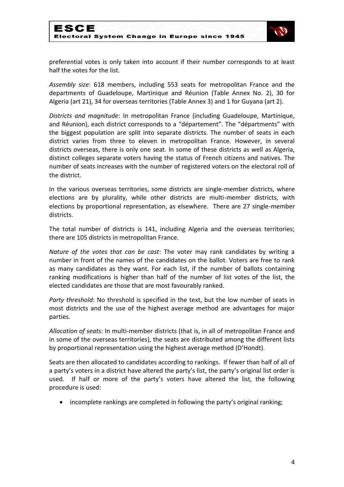

preferential votes is only taken into account if their number corresponds to at least half the votes for the list.

*Assembly size*: 618 members, including 553 seats for metropolitan France and the departments of Guadeloupe, Martinique and Réunion (Table Annex No. 2), 30 for Algeria (art 21), 34 for overseas territories (Table Annex 3) and 1 for Guyana (art 2).

*Districts and magnitude*: In metropolitan France (including Guadeloupe, Martinique, and Réunion), each district corresponds to a "département". The "départments" with the biggest population are split into separate districts. The number of seats in each district varies from three to eleven in metropolitan France. However, in several districts overseas, there is only one seat. In some of these districts as well as Algeria, distinct colleges separate voters having the status of French citizens and natives. The number of seats increases with the number of registered voters on the electoral roll of the district.

In the various overseas territories, some districts are single-member districts, where elections are by plurality, while other districts are multi-member districts, with elections by proportional representation, as elsewhere. There are 27 single-member districts.

The total number of districts is 141, including Algeria and the overseas territories; there are 105 districts in metropolitan France.

*Nature of the votes that can be cast*: The voter may rank candidates by writing a number in front of the names of the candidates on the ballot. Voters are free to rank as many candidates as they want. For each list, if the number of ballots containing ranking modifications is higher than half of the number of list votes of the list, the elected candidates are those that are most favourably ranked.

*Party threshold*: No threshold is specified in the text, but the low number of seats in most districts and the use of the highest average method are advantages for major parties.

*Allocation of seats*: In multi-member districts (that is, in all of metropolitan France and in some of the overseas territories), the seats are distributed among the different lists by proportional representation using the highest average method (D'Hondt).

Seats are then allocated to candidates according to rankings. If fewer than half of all of a party's voters in a district have altered the party's list, the party's original list order is used. If half or more of the party's voters have altered the list, the following procedure is used:

incomplete rankings are completed in following the party's original ranking;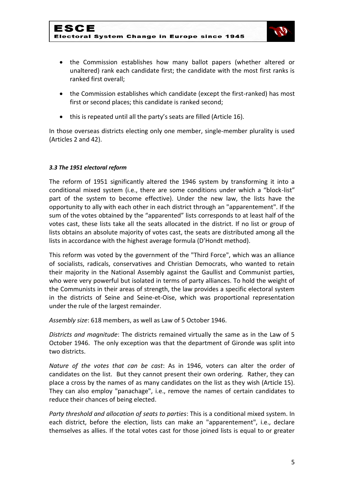

- the Commission establishes how many ballot papers (whether altered or unaltered) rank each candidate first; the candidate with the most first ranks is ranked first overall;
- the Commission establishes which candidate (except the first-ranked) has most first or second places; this candidate is ranked second;
- this is repeated until all the party's seats are filled (Article 16).

In those overseas districts electing only one member, single-member plurality is used (Articles 2 and 42).

### *3.3 The 1951 electoral reform*

The reform of 1951 significantly altered the 1946 system by transforming it into a conditional mixed system (i.e., there are some conditions under which a "block-list" part of the system to become effective). Under the new law, the lists have the opportunity to ally with each other in each district through an "apparentement". If the sum of the votes obtained by the "apparented" lists corresponds to at least half of the votes cast, these lists take all the seats allocated in the district. If no list or group of lists obtains an absolute majority of votes cast, the seats are distributed among all the lists in accordance with the highest average formula (D'Hondt method).

This reform was voted by the government of the "Third Force", which was an alliance of socialists, radicals, conservatives and Christian Democrats, who wanted to retain their majority in the National Assembly against the Gaullist and Communist parties, who were very powerful but isolated in terms of party alliances. To hold the weight of the Communists in their areas of strength, the law provides a specific electoral system in the districts of Seine and Seine-et-Oise, which was proportional representation under the rule of the largest remainder.

*Assembly size*: 618 members, as well as Law of 5 October 1946.

*Districts and magnitude*: The districts remained virtually the same as in the Law of 5 October 1946. The only exception was that the department of Gironde was split into two districts.

*Nature of the votes that can be cast*: As in 1946, voters can alter the order of candidates on the list. But they cannot present their own ordering. Rather, they can place a cross by the names of as many candidates on the list as they wish (Article 15). They can also employ "panachage", i.e., remove the names of certain candidates to reduce their chances of being elected.

*Party threshold and allocation of seats to parties*: This is a conditional mixed system. In each district, before the election, lists can make an "apparentement", i.e., declare themselves as allies. If the total votes cast for those joined lists is equal to or greater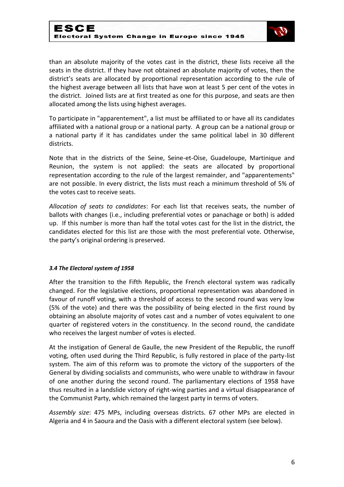

than an absolute majority of the votes cast in the district, these lists receive all the seats in the district. If they have not obtained an absolute majority of votes, then the district's seats are allocated by proportional representation according to the rule of the highest average between all lists that have won at least 5 per cent of the votes in the district. Joined lists are at first treated as one for this purpose, and seats are then allocated among the lists using highest averages.

To participate in "apparentement", a list must be affiliated to or have all its candidates affiliated with a national group or a national party. A group can be a national group or a national party if it has candidates under the same political label in 30 different districts.

Note that in the districts of the Seine, Seine-et-Oise, Guadeloupe, Martinique and Reunion, the system is not applied: the seats are allocated by proportional representation according to the rule of the largest remainder, and "apparentements" are not possible. In every district, the lists must reach a minimum threshold of 5% of the votes cast to receive seats.

*Allocation of seats to candidates*: For each list that receives seats, the number of ballots with changes (i.e., including preferential votes or panachage or both) is added up. If this number is more than half the total votes cast for the list in the district, the candidates elected for this list are those with the most preferential vote. Otherwise, the party's original ordering is preserved.

#### *3.4 The Electoral system of 1958*

After the transition to the Fifth Republic, the French electoral system was radically changed. For the legislative elections, proportional representation was abandoned in favour of runoff voting, with a threshold of access to the second round was very low (5% of the vote) and there was the possibility of being elected in the first round by obtaining an absolute majority of votes cast and a number of votes equivalent to one quarter of registered voters in the constituency. In the second round, the candidate who receives the largest number of votes is elected.

At the instigation of General de Gaulle, the new President of the Republic, the runoff voting, often used during the Third Republic, is fully restored in place of the party-list system. The aim of this reform was to promote the victory of the supporters of the General by dividing socialists and communists, who were unable to withdraw in favour of one another during the second round. The parliamentary elections of 1958 have thus resulted in a landslide victory of right-wing parties and a virtual disappearance of the Communist Party, which remained the largest party in terms of voters.

*Assembly size*: 475 MPs, including overseas districts. 67 other MPs are elected in Algeria and 4 in Saoura and the Oasis with a different electoral system (see below).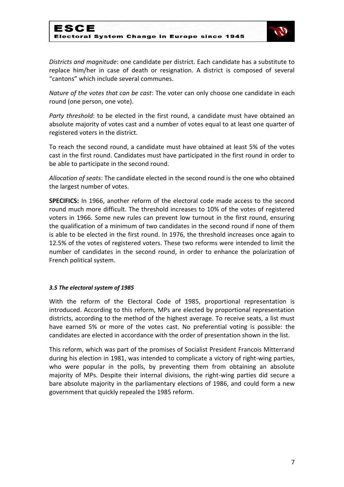

*Districts and magnitude*: one candidate per district. Each candidate has a substitute to replace him/her in case of death or resignation. A district is composed of several "cantons" which include several communes.

*Nature of the votes that can be cast*: The voter can only choose one candidate in each round (one person, one vote).

*Party threshold*: to be elected in the first round, a candidate must have obtained an absolute majority of votes cast and a number of votes equal to at least one quarter of registered voters in the district.

To reach the second round, a candidate must have obtained at least 5% of the votes cast in the first round. Candidates must have participated in the first round in order to be able to participate in the second round.

*Allocation of seats*: The candidate elected in the second round is the one who obtained the largest number of votes.

**SPECIFICS:** In 1966, another reform of the electoral code made access to the second round much more difficult. The threshold increases to 10% of the votes of registered voters in 1966. Some new rules can prevent low turnout in the first round, ensuring the qualification of a minimum of two candidates in the second round if none of them is able to be elected in the first round. In 1976, the threshold increases once again to 12.5% of the votes of registered voters. These two reforms were intended to limit the number of candidates in the second round, in order to enhance the polarization of French political system.

#### *3.5 The electoral system of 1985*

With the reform of the Electoral Code of 1985, proportional representation is introduced. According to this reform, MPs are elected by proportional representation districts, according to the method of the highest average. To receive seats, a list must have earned 5% or more of the votes cast. No preferential voting is possible: the candidates are elected in accordance with the order of presentation shown in the list.

This reform, which was part of the promises of Socialist President Francois Mitterrand during his election in 1981, was intended to complicate a victory of right-wing parties, who were popular in the polls, by preventing them from obtaining an absolute majority of MPs. Despite their internal divisions, the right-wing parties did secure a bare absolute majority in the parliamentary elections of 1986, and could form a new government that quickly repealed the 1985 reform.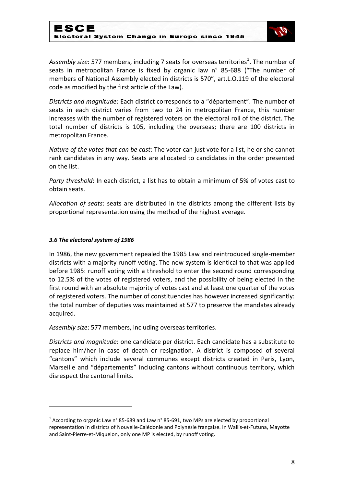

Assembly size: 577 members, including 7 seats for overseas territories<sup>1</sup>. The number of seats in metropolitan France is fixed by organic law n° 85-688 ("The number of members of National Assembly elected in districts is 570", art.L.O.119 of the electoral code as modified by the first article of the Law).

*Districts and magnitude*: Each district corresponds to a "département". The number of seats in each district varies from two to 24 in metropolitan France, this number increases with the number of registered voters on the electoral roll of the district. The total number of districts is 105, including the overseas; there are 100 districts in metropolitan France.

*Nature of the votes that can be cast*: The voter can just vote for a list, he or she cannot rank candidates in any way. Seats are allocated to candidates in the order presented on the list.

*Party threshold*: In each district, a list has to obtain a minimum of 5% of votes cast to obtain seats.

*Allocation of seats*: seats are distributed in the districts among the different lists by proportional representation using the method of the highest average.

#### *3.6 The electoral system of 1986*

**.** 

In 1986, the new government repealed the 1985 Law and reintroduced single-member districts with a majority runoff voting. The new system is identical to that was applied before 1985: runoff voting with a threshold to enter the second round corresponding to 12.5% of the votes of registered voters, and the possibility of being elected in the first round with an absolute majority of votes cast and at least one quarter of the votes of registered voters. The number of constituencies has however increased significantly: the total number of deputies was maintained at 577 to preserve the mandates already acquired.

*Assembly size*: 577 members, including overseas territories.

*Districts and magnitude*: one candidate per district. Each candidate has a substitute to replace him/her in case of death or resignation. A district is composed of several "cantons" which include several communes except districts created in Paris, Lyon, Marseille and "départements" including cantons without continuous territory, which disrespect the cantonal limits.

 $^1$  According to organic Law n° 85-689 and Law n° 85-691, two MPs are elected by proportional representation in districts of Nouvelle-Calédonie and Polynésie française. In Wallis-et-Futuna, Mayotte and Saint-Pierre-et-Miquelon, only one MP is elected, by runoff voting.